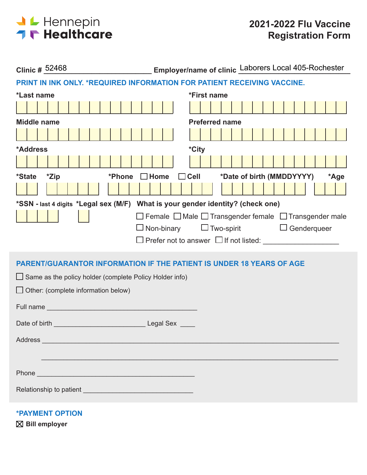

| Employer/name of clinic Laborers Local 405-Rochester<br><b>Clinic # 52468</b>                                                                                                                                                  |  |  |  |  |  |  |  |  |
|--------------------------------------------------------------------------------------------------------------------------------------------------------------------------------------------------------------------------------|--|--|--|--|--|--|--|--|
| PRINT IN INK ONLY. *REQUIRED INFORMATION FOR PATIENT RECEIVING VACCINE.                                                                                                                                                        |  |  |  |  |  |  |  |  |
| *Last name<br>*First name                                                                                                                                                                                                      |  |  |  |  |  |  |  |  |
|                                                                                                                                                                                                                                |  |  |  |  |  |  |  |  |
| <b>Middle name</b><br><b>Preferred name</b>                                                                                                                                                                                    |  |  |  |  |  |  |  |  |
|                                                                                                                                                                                                                                |  |  |  |  |  |  |  |  |
| *City<br>*Address                                                                                                                                                                                                              |  |  |  |  |  |  |  |  |
|                                                                                                                                                                                                                                |  |  |  |  |  |  |  |  |
| *Date of birth (MMDDYYYY)<br><i><b>*State</b></i><br>*Zip<br>$\Box$ Cell<br>*Phone<br>$\Box$ Home<br>*Age                                                                                                                      |  |  |  |  |  |  |  |  |
|                                                                                                                                                                                                                                |  |  |  |  |  |  |  |  |
| *SSN - last 4 digits *Legal sex (M/F) What is your gender identity? (check one)                                                                                                                                                |  |  |  |  |  |  |  |  |
| $\Box$ Female $\Box$ Male $\Box$ Transgender female $\Box$ Transgender male                                                                                                                                                    |  |  |  |  |  |  |  |  |
| $\Box$ Two-spirit<br>$\Box$ Non-binary<br>$\Box$ Genderqueer                                                                                                                                                                   |  |  |  |  |  |  |  |  |
|                                                                                                                                                                                                                                |  |  |  |  |  |  |  |  |
| <b>PARENT/GUARANTOR INFORMATION IF THE PATIENT IS UNDER 18 YEARS OF AGE</b>                                                                                                                                                    |  |  |  |  |  |  |  |  |
| $\Box$ Same as the policy holder (complete Policy Holder info)                                                                                                                                                                 |  |  |  |  |  |  |  |  |
| $\Box$ Other: (complete information below)                                                                                                                                                                                     |  |  |  |  |  |  |  |  |
| <b>Full name</b> and the contract of the contract of the contract of the contract of the contract of the contract of                                                                                                           |  |  |  |  |  |  |  |  |
|                                                                                                                                                                                                                                |  |  |  |  |  |  |  |  |
|                                                                                                                                                                                                                                |  |  |  |  |  |  |  |  |
| Address and the contract of the contract of the contract of the contract of the contract of the contract of the contract of the contract of the contract of the contract of the contract of the contract of the contract of th |  |  |  |  |  |  |  |  |
|                                                                                                                                                                                                                                |  |  |  |  |  |  |  |  |
| Phone experience and the state of the state of the state of the state of the state of the state of the state of the state of the state of the state of the state of the state of the state of the state of the state of the st |  |  |  |  |  |  |  |  |
|                                                                                                                                                                                                                                |  |  |  |  |  |  |  |  |
|                                                                                                                                                                                                                                |  |  |  |  |  |  |  |  |
| <b>*PAYMENT OPTION</b>                                                                                                                                                                                                         |  |  |  |  |  |  |  |  |

**Bill employer**